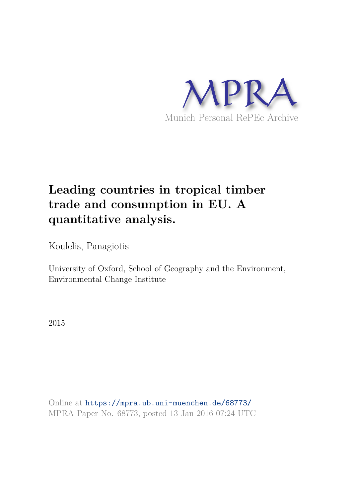

# **Leading countries in tropical timber trade and consumption in EU. A quantitative analysis.**

Koulelis, Panagiotis

University of Oxford, School of Geography and the Environment, Environmental Change Institute

2015

Online at https://mpra.ub.uni-muenchen.de/68773/ MPRA Paper No. 68773, posted 13 Jan 2016 07:24 UTC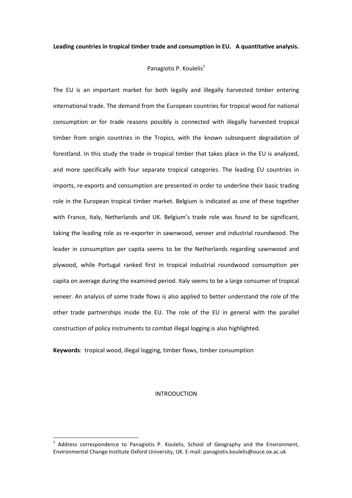# Panagiotis P. Koulelis<sup>1</sup>

The EU is an important market for both legally and illegally harvested timber entering international trade. The demand from the European countries for tropical wood for national consumption or for trade reasons possibly is connected with illegally harvested tropical timber from origin countries in the Tropics, with the known subsequent degradation of forestland. In this study the trade in tropical timber that takes place in the EU is analyzed, and more specifically with four separate tropical categories. The leading EU countries in imports, re-exports and consumption are presented in order to underline their basic trading role in the European tropical timber market. Belgium is indicated as one of these together with France, Italy, Netherlands and UK. Belgium's trade role was found to be significant, taking the leading role as re-exporter in sawnwood, veneer and industrial roundwood. The leader in consumption per capita seems to be the Netherlands regarding sawnwood and plywood, while Portugal ranked first in tropical industrial roundwood consumption per capita on average during the examined period. Italy seems to be a large consumer of tropical veneer. An analysis of some trade flows is also applied to better understand the role of the other trade partnerships inside the EU. The role of the EU in general with the parallel construction of policy instruments to combat illegal logging is also highlighted.

**Keywords***:* tropical wood, illegal logging, timber flows, timber consumption

## INTRODUCTION

<sup>1</sup> Address correspondence to Panagiotis P. Koulelis, School of Geography and the Environment, Environmental Change Institute Oxford University, UK. E-mail: panagiotis.koulelis@ouce.ox.ac.uk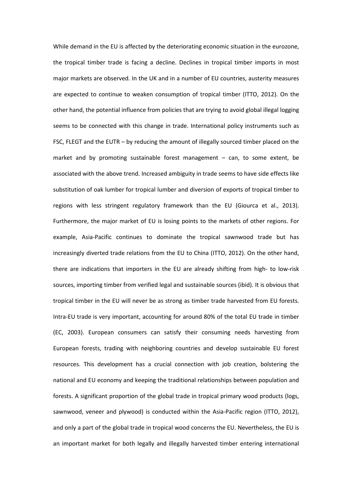While demand in the EU is affected by the deteriorating economic situation in the eurozone, the tropical timber trade is facing a decline. Declines in tropical timber imports in most major markets are observed. In the UK and in a number of EU countries, austerity measures are expected to continue to weaken consumption of tropical timber (ITTO, 2012). On the other hand, the potential influence from policies that are trying to avoid global illegal logging seems to be connected with this change in trade. International policy instruments such as FSC, FLEGT and the EUTR – by reducing the amount of illegally sourced timber placed on the market and by promoting sustainable forest management – can, to some extent, be associated with the above trend. Increased ambiguity in trade seems to have side effects like substitution of oak lumber for tropical lumber and diversion of exports of tropical timber to regions with less stringent regulatory framework than the EU (Giourca et al., 2013). Furthermore, the major market of EU is losing points to the markets of other regions. For example, Asia-Pacific continues to dominate the tropical sawnwood trade but has increasingly diverted trade relations from the EU to China (ITTO, 2012). On the other hand, there are indications that importers in the EU are already shifting from high- to low-risk sources, importing timber from verified legal and sustainable sources (ibid). It is obvious that tropical timber in the EU will never be as strong as timber trade harvested from EU forests. Intra-EU trade is very important, accounting for around 80% of the total EU trade in timber (EC, 2003). European consumers can satisfy their consuming needs harvesting from European forests, trading with neighboring countries and develop sustainable EU forest resources. This development has a crucial connection with job creation, bolstering the national and EU economy and keeping the traditional relationships between population and forests. A significant proportion of the global trade in tropical primary wood products (logs, sawnwood, veneer and plywood) is conducted within the Asia-Pacific region (ITTO, 2012), and only a part of the global trade in tropical wood concerns the EU. Nevertheless, the EU is an important market for both legally and illegally harvested timber entering international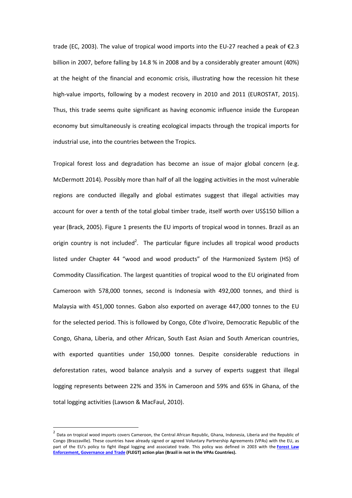trade (EC, 2003). The value of tropical wood imports into the EU-27 reached a peak of  $\epsilon$ 2.3 billion in 2007, before falling by 14.8 % in 2008 and by a considerably greater amount (40%) at the height of the financial and economic crisis, illustrating how the recession hit these high-value imports, following by a modest recovery in 2010 and 2011 (EUROSTAT, 2015). Thus, this trade seems quite significant as having economic influence inside the European economy but simultaneously is creating ecological impacts through the tropical imports for industrial use, into the countries between the Tropics.

Tropical forest loss and degradation has become an issue of major global concern (e.g. McDermott 2014). Possibly more than half of all the logging activities in the most vulnerable regions are conducted illegally and global estimates suggest that illegal activities may account for over a tenth of the total global timber trade, itself worth over US\$150 billion a year (Brack, 2005). Figure 1 presents the EU imports of tropical wood in tonnes. Brazil as an origin country is not included<sup>2</sup>. The particular figure includes all tropical wood products listed under Chapter 44 "wood and wood products" of the Harmonized System (HS) of Commodity Classification. The largest quantities of tropical wood to the EU originated from Cameroon with 578,000 tonnes, second is Indonesia with 492,000 tonnes, and third is Malaysia with 451,000 tonnes. Gabon also exported on average 447,000 tonnes to the EU for the selected period. This is followed by Congo, Côte d'Ivoire, Democratic Republic of the Congo, Ghana, Liberia, and other African, South East Asian and South American countries, with exported quantities under 150,000 tonnes. Despite considerable reductions in deforestation rates, wood balance analysis and a survey of experts suggest that illegal logging represents between 22% and 35% in Cameroon and 59% and 65% in Ghana, of the total logging activities (Lawson & MacFaul, 2010).

l

<sup>&</sup>lt;sup>2</sup> Data on tropical wood imports covers Cameroon, the Central African Republic, Ghana, Indonesia, Liberia and the Republic of Congo (Brazzaville). These countries have already signed or agreed Voluntary Partnership Agreements (VPAs) with the EU, as part of the EU's policy to fight illegal logging and associated trade. This policy was defined in 2003 with the **Forest Law Enforcement, Governance and Trade (FLEGT) action plan (Brazil in not in the VPAs Countries).**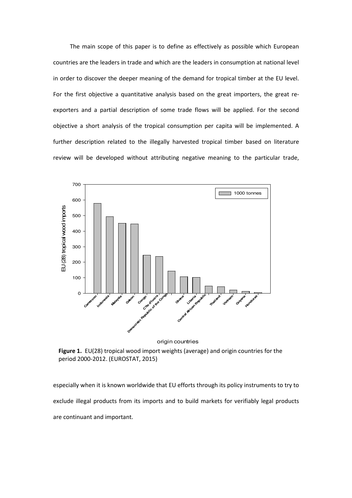The main scope of this paper is to define as effectively as possible which European countries are the leaders in trade and which are the leaders in consumption at national level in order to discover the deeper meaning of the demand for tropical timber at the EU level. For the first objective a quantitative analysis based on the great importers, the great reexporters and a partial description of some trade flows will be applied. For the second objective a short analysis of the tropical consumption per capita will be implemented. A further description related to the illegally harvested tropical timber based on literature review will be developed without attributing negative meaning to the particular trade,



**Figure 1.** EU(28) tropical wood import weights (average) and origin countries for the period 2000-2012. (EUROSTAT, 2015)

especially when it is known worldwide that EU efforts through its policy instruments to try to exclude illegal products from its imports and to build markets for verifiably legal products are continuant and important.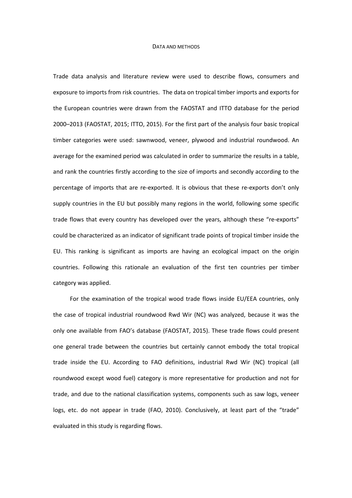#### DATA AND METHODS

Trade data analysis and literature review were used to describe flows, consumers and exposure to imports from risk countries. The data on tropical timber imports and exports for the European countries were drawn from the FAOSTAT and ITTO database for the period 2000–2013 (FAOSTAT, 2015; ITTO, 2015). For the first part of the analysis four basic tropical timber categories were used: sawnwood, veneer, plywood and industrial roundwood. An average for the examined period was calculated in order to summarize the results in a table, and rank the countries firstly according to the size of imports and secondly according to the percentage of imports that are re-exported. It is obvious that these re-exports don't only supply countries in the EU but possibly many regions in the world, following some specific trade flows that every country has developed over the years, although these "re-exports" could be characterized as an indicator of significant trade points of tropical timber inside the EU. This ranking is significant as imports are having an ecological impact on the origin countries. Following this rationale an evaluation of the first ten countries per timber category was applied.

For the examination of the tropical wood trade flows inside EU/EEA countries, only the case of tropical industrial roundwood Rwd Wir (NC) was analyzed, because it was the only one available from FAO's database (FAOSTAT, 2015). These trade flows could present one general trade between the countries but certainly cannot embody the total tropical trade inside the EU. According to FAO definitions, industrial Rwd Wir (NC) tropical (all roundwood except wood fuel) category is more representative for production and not for trade, and due to the national classification systems, components such as saw logs, veneer logs, etc. do not appear in trade (FAO, 2010). Conclusively, at least part of the "trade" evaluated in this study is regarding flows.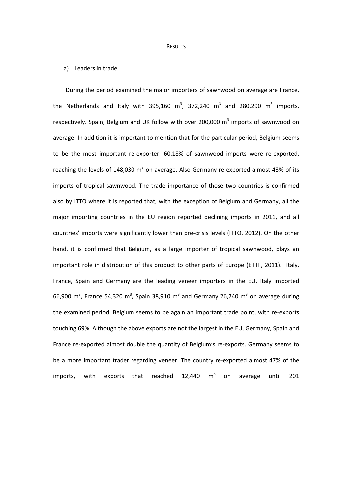#### **RESULTS**

# a) Leaders in trade

During the period examined the major importers of sawnwood on average are France, the Netherlands and Italy with 395,160 m<sup>3</sup>, 372,240 m<sup>3</sup> and 280,290 m<sup>3</sup> imports, respectively. Spain, Belgium and UK follow with over 200,000  $m^3$  imports of sawnwood on average. In addition it is important to mention that for the particular period, Belgium seems to be the most important re-exporter. 60.18% of sawnwood imports were re-exported, reaching the levels of 148,030  $m^3$  on average. Also Germany re-exported almost 43% of its imports of tropical sawnwood. The trade importance of those two countries is confirmed also by ITTO where it is reported that, with the exception of Belgium and Germany, all the major importing countries in the EU region reported declining imports in 2011, and all countries' imports were significantly lower than pre-crisis levels (ITTO, 2012). On the other hand, it is confirmed that Belgium, as a large importer of tropical sawnwood, plays an important role in distribution of this product to other parts of Europe (ETTF, 2011). Italy, France, Spain and Germany are the leading veneer importers in the EU. Italy imported 66,900 m<sup>3</sup>, France 54,320 m<sup>3</sup>, Spain 38,910 m<sup>3</sup> and Germany 26,740 m<sup>3</sup> on average during the examined period. Belgium seems to be again an important trade point, with re-exports touching 69%. Although the above exports are not the largest in the EU, Germany, Spain and France re-exported almost double the quantity of Belgium's re-exports. Germany seems to be a more important trader regarding veneer. The country re-exported almost 47% of the imports, with exports that reached  $12,440$  m<sup>3</sup> on average until 201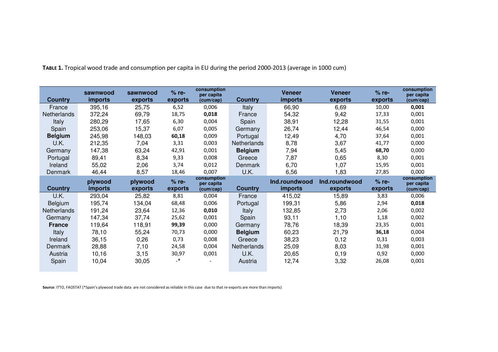|                | sawnwood       | sawnwood | $%$ re-                  | consumption<br>per capita |                | <b>Veneer</b>  | <b>Veneer</b> | $%$ re- | consumption<br>per capita |
|----------------|----------------|----------|--------------------------|---------------------------|----------------|----------------|---------------|---------|---------------------------|
| <b>Country</b> | <i>imports</i> | exports  | exports                  | (cum/cap)                 | <b>Country</b> | <i>imports</i> | exports       | exports | (cum/cap)                 |
| France         | 395,16         | 25,75    | 6,52                     | 0,006                     | <b>Italy</b>   | 66,90          | 6,69          | 10,00   | 0,001                     |
| Netherlands    | 372,24         | 69,79    | 18,75                    | 0,018                     | France         | 54,32          | 9,42          | 17,33   | 0,001                     |
| Italy          | 280,29         | 17,65    | 6,30                     | 0,004                     | Spain          | 38,91          | 12,28         | 31,55   | 0,001                     |
| Spain          | 253,06         | 15,37    | 6,07                     | 0,005                     | Germany        | 26,74          | 12,44         | 46,54   | 0,000                     |
| <b>Belgium</b> | 245,98         | 148,03   | 60,18                    | 0,009                     | Portugal       | 12,49          | 4,70          | 37,64   | 0,001                     |
| U.K.           | 212,35         | 7,04     | 3,31                     | 0,003                     | Netherlands    | 8,78           | 3,67          | 41,77   | 0,000                     |
| Germany        | 147,38         | 63,24    | 42,91                    | 0,001                     | <b>Belgium</b> | 7,94           | 5,45          | 68,70   | 0,000                     |
| Portugal       | 89,41          | 8,34     | 9,33                     | 0,008                     | Greece         | 7,87           | 0,65          | 8,30    | 0,001                     |
| Ireland        | 55,02          | 2,06     | 3,74                     | 0,012                     | Denmark        | 6,70           | 1,07          | 15,95   | 0,001                     |
| Denmark        | 46,44          | 8,57     | 18,46                    | 0,007                     | U.K.           | 6,56           | 1,83          | 27,85   | 0,000                     |
|                | plywood        | plywood  | $%$ re-                  | consumption<br>per capita |                | Ind.roundwood  | Ind.roundwood | $%$ re- | consumption<br>per capita |
| <b>Country</b> | <i>imports</i> | exports  | exports                  | (cum/cap)                 | <b>Country</b> | <i>imports</i> | exports       | exports | (cum/cap)                 |
| U.K.           | 293,04         | 25,82    | 8,81                     | 0,004                     | France         | 415,02         | 15,89         | 3,83    | 0,006                     |
| Belgium        | 195,74         | 134,04   | 68,48                    | 0,006                     | Portugal       | 199,31         | 5,86          | 2,94    | 0,018                     |
| Netherlands    | 191,24         | 23,64    | 12,36                    | 0,010                     | Italy          | 132,85         | 2,73          | 2,06    | 0,002                     |
| Germany        | 147,34         | 37,74    | 25,62                    | 0,001                     | Spain          | 93,11          | 1,10          | 1,18    | 0,002                     |
| <b>France</b>  | 119,64         | 118,91   | 99,39                    | 0,000                     | Germany        | 78,76          | 18,39         | 23,35   | 0,001                     |
| Italy          | 78,10          | 55,24    | 70,73                    | 0,000                     | <b>Belgium</b> | 60,23          | 21,79         | 36,18   | 0,004                     |
| Ireland        | 36,15          | 0,26     | 0,73                     | 0,008                     | Greece         | 38,23          | 0,12          | 0,31    | 0,003                     |
| Denmark        | 28,88          | 7,10     | 24,58                    | 0,004                     | Netherlands    | 25,09          | 8,03          | 31,98   | 0,001                     |
| Austria        | 10,16          | 3,15     | 30,97                    | 0,001                     | U.K.           | 20,65          | 0, 19         | 0,92    | 0,000                     |
| Spain          | 10,04          | 30,05    | $\overline{\phantom{a}}$ |                           | Austria        | 12,74          | 3,32          | 26,08   | 0,001                     |

**TABLE 1.** Tropical wood trade and consumption per capita in EU during the period 2000-2013 (average in 1000 cum)

**Source**: ITTO, FAOSTAT (\*Spain's plywood trade data are not considered as reliable in this case due to that re-exports are more than imports)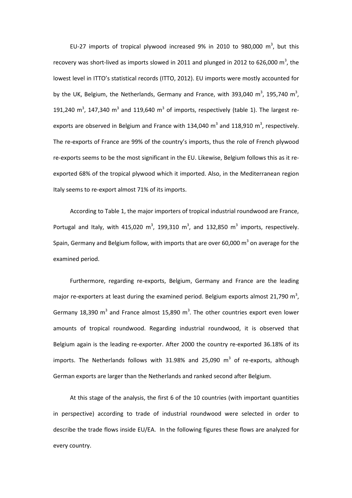EU-27 imports of tropical plywood increased 9% in 2010 to 980,000  $m^3$ , but this recovery was short-lived as imports slowed in 2011 and plunged in 2012 to 626,000 m<sup>3</sup>, the lowest level in ITTO's statistical records (ITTO, 2012). EU imports were mostly accounted for by the UK, Belgium, the Netherlands, Germany and France, with 393,040 m<sup>3</sup>, 195,740 m<sup>3</sup>, 191,240 m<sup>3</sup>, 147,340 m<sup>3</sup> and 119,640 m<sup>3</sup> of imports, respectively (table 1). The largest reexports are observed in Belgium and France with 134,040  $m^3$  and 118,910  $m^3$ , respectively. The re-exports of France are 99% of the country's imports, thus the role of French plywood re-exports seems to be the most significant in the EU. Likewise, Belgium follows this as it reexported 68% of the tropical plywood which it imported. Also, in the Mediterranean region Italy seems to re-export almost 71% of its imports.

According to Table 1, the major importers of tropical industrial roundwood are France, Portugal and Italy, with 415,020  $m^3$ , 199,310  $m^3$ , and 132,850  $m^3$  imports, respectively. Spain, Germany and Belgium follow, with imports that are over 60,000  $m^3$  on average for the examined period.

Furthermore, regarding re-exports, Belgium, Germany and France are the leading major re-exporters at least during the examined period. Belgium exports almost 21,790 m<sup>3</sup>, Germany 18,390 m<sup>3</sup> and France almost 15,890 m<sup>3</sup>. The other countries export even lower amounts of tropical roundwood. Regarding industrial roundwood, it is observed that Belgium again is the leading re-exporter. After 2000 the country re-exported 36.18% of its imports. The Netherlands follows with 31.98% and 25,090  $m^3$  of re-exports, although German exports are larger than the Netherlands and ranked second after Belgium.

At this stage of the analysis, the first 6 of the 10 countries (with important quantities in perspective) according to trade of industrial roundwood were selected in order to describe the trade flows inside EU/EA. In the following figures these flows are analyzed for every country.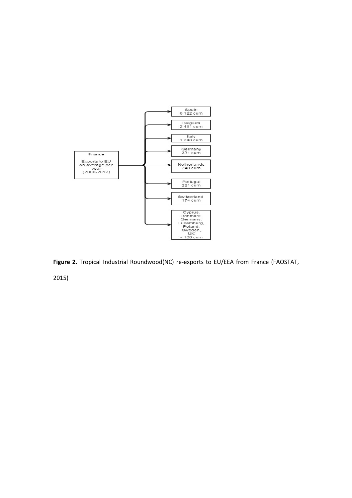

**Figure 2.** Tropical Industrial Roundwood(NC) re-exports to EU/EEA from France (FAOSTAT,

2015)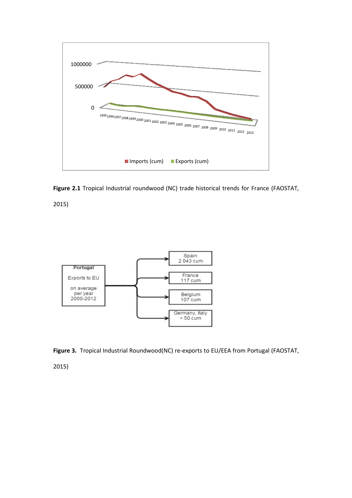



2015)





2015)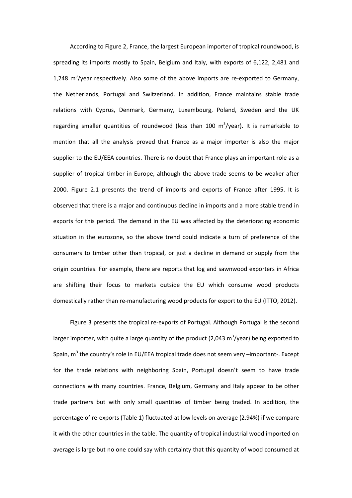According to Figure 2, France, the largest European importer of tropical roundwood, is spreading its imports mostly to Spain, Belgium and Italy, with exports of 6,122, 2,481 and 1,248  $\text{m}^3$ /year respectively. Also some of the above imports are re-exported to Germany, the Netherlands, Portugal and Switzerland. In addition, France maintains stable trade relations with Cyprus, Denmark, Germany, Luxembourg, Poland, Sweden and the UK regarding smaller quantities of roundwood (less than 100 m<sup>3</sup>/year). It is remarkable to mention that all the analysis proved that France as a major importer is also the major supplier to the EU/EEA countries. There is no doubt that France plays an important role as a supplier of tropical timber in Europe, although the above trade seems to be weaker after 2000. Figure 2.1 presents the trend of imports and exports of France after 1995. It is observed that there is a major and continuous decline in imports and a more stable trend in exports for this period. The demand in the EU was affected by the deteriorating economic situation in the eurozone, so the above trend could indicate a turn of preference of the consumers to timber other than tropical, or just a decline in demand or supply from the origin countries. For example, there are reports that log and sawnwood exporters in Africa are shifting their focus to markets outside the EU which consume wood products domestically rather than re-manufacturing wood products for export to the EU (ITTO, 2012).

Figure 3 presents the tropical re-exports of Portugal. Although Portugal is the second larger importer, with quite a large quantity of the product (2,043 m<sup>3</sup>/year) being exported to Spain,  $m^3$  the country's role in EU/EEA tropical trade does not seem very  $-$ important-. Except for the trade relations with neighboring Spain, Portugal doesn't seem to have trade connections with many countries. France, Belgium, Germany and Italy appear to be other trade partners but with only small quantities of timber being traded. In addition, the percentage of re-exports (Table 1) fluctuated at low levels on average (2.94%) if we compare it with the other countries in the table. The quantity of tropical industrial wood imported on average is large but no one could say with certainty that this quantity of wood consumed at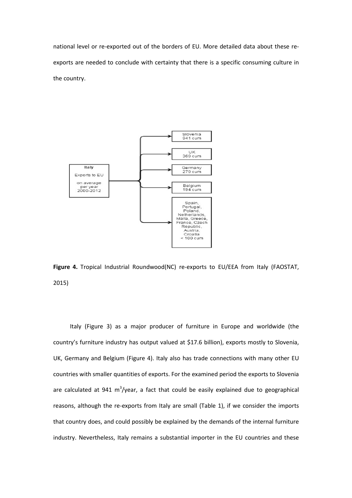national level or re-exported out of the borders of EU. More detailed data about these reexports are needed to conclude with certainty that there is a specific consuming culture in the country.



**Figure 4.** Tropical Industrial Roundwood(NC) re-exports to EU/EEA from Italy (FAOSTAT, 2015)

Italy (Figure 3) as a major producer of furniture in Europe and worldwide (the country's furniture industry has output valued at \$17.6 billion), exports mostly to Slovenia, UK, Germany and Belgium (Figure 4). Italy also has trade connections with many other EU countries with smaller quantities of exports. For the examined period the exports to Slovenia are calculated at 941  $\mathrm{m}^3/\mathrm{year}$ , a fact that could be easily explained due to geographical reasons, although the re-exports from Italy are small (Table 1), if we consider the imports that country does, and could possibly be explained by the demands of the internal furniture industry. Nevertheless, Italy remains a substantial importer in the EU countries and these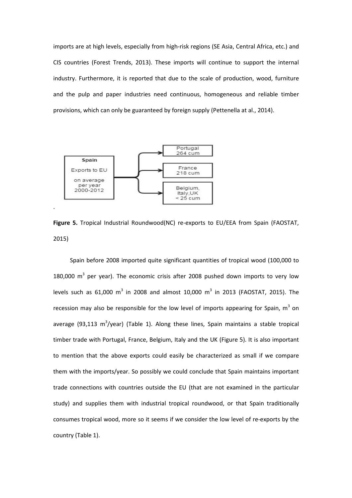imports are at high levels, especially from high-risk regions (SE Asia, Central Africa, etc.) and CIS countries (Forest Trends, 2013). These imports will continue to support the internal industry. Furthermore, it is reported that due to the scale of production, wood, furniture and the pulp and paper industries need continuous, homogeneous and reliable timber provisions, which can only be guaranteed by foreign supply (Pettenella at al., 2014).



**Figure 5.** Tropical Industrial Roundwood(NC) re-exports to EU/EEA from Spain (FAOSTAT, 2015)

Spain before 2008 imported quite significant quantities of tropical wood (100,000 to 180,000  $m^3$  per year). The economic crisis after 2008 pushed down imports to very low levels such as 61,000  $\text{m}^{3}$  in 2008 and almost 10,000  $\text{m}^{3}$  in 2013 (FAOSTAT, 2015). The recession may also be responsible for the low level of imports appearing for Spain,  $m^3$  on average (93,113 m<sup>3</sup>/year) (Table 1). Along these lines, Spain maintains a stable tropical timber trade with Portugal, France, Belgium, Italy and the UK (Figure 5). It is also important to mention that the above exports could easily be characterized as small if we compare them with the imports/year. So possibly we could conclude that Spain maintains important trade connections with countries outside the EU (that are not examined in the particular study) and supplies them with industrial tropical roundwood, or that Spain traditionally consumes tropical wood, more so it seems if we consider the low level of re-exports by the country (Table 1).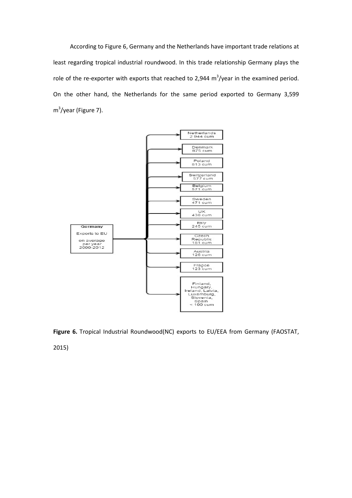According to Figure 6, Germany and the Netherlands have important trade relations at least regarding tropical industrial roundwood. In this trade relationship Germany plays the role of the re-exporter with exports that reached to 2,944  $\text{m}^3/\text{year}$  in the examined period. On the other hand, the Netherlands for the same period exported to Germany 3,599 m<sup>3</sup>/year (Figure 7).





2015)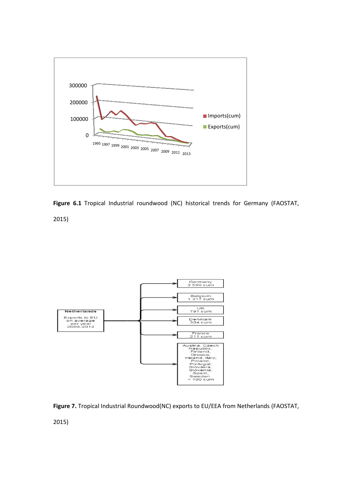



2015)





2015)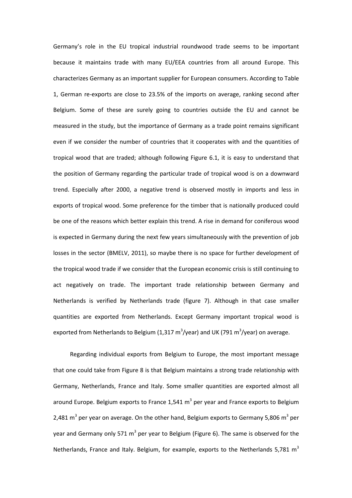Germany's role in the EU tropical industrial roundwood trade seems to be important because it maintains trade with many EU/EEA countries from all around Europe. This characterizes Germany as an important supplier for European consumers. According to Table 1, German re-exports are close to 23.5% of the imports on average, ranking second after Belgium. Some of these are surely going to countries outside the EU and cannot be measured in the study, but the importance of Germany as a trade point remains significant even if we consider the number of countries that it cooperates with and the quantities of tropical wood that are traded; although following Figure 6.1, it is easy to understand that the position of Germany regarding the particular trade of tropical wood is on a downward trend. Especially after 2000, a negative trend is observed mostly in imports and less in exports of tropical wood. Some preference for the timber that is nationally produced could be one of the reasons which better explain this trend. A rise in demand for coniferous wood is expected in Germany during the next few years simultaneously with the prevention of job losses in the sector (BMELV, 2011), so maybe there is no space for further development of the tropical wood trade if we consider that the European economic crisis is still continuing to act negatively on trade. The important trade relationship between Germany and Netherlands is verified by Netherlands trade (figure 7). Although in that case smaller quantities are exported from Netherlands. Except Germany important tropical wood is exported from Netherlands to Belgium (1,317 m<sup>3</sup>/year) and UK (791 m<sup>3</sup>/year) on average.

Regarding individual exports from Belgium to Europe, the most important message that one could take from Figure 8 is that Belgium maintains a strong trade relationship with Germany, Netherlands, France and Italy. Some smaller quantities are exported almost all around Europe. Belgium exports to France 1,541 m<sup>3</sup> per year and France exports to Belgium 2,481 m<sup>3</sup> per year on average. On the other hand, Belgium exports to Germany 5,806 m<sup>3</sup> per year and Germany only 571 m<sup>3</sup> per year to Belgium (Figure 6). The same is observed for the Netherlands, France and Italy. Belgium, for example, exports to the Netherlands 5,781  $m<sup>3</sup>$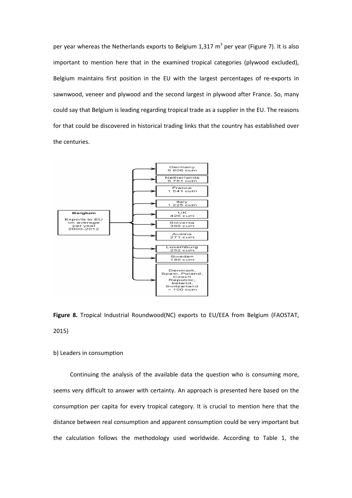per year whereas the Netherlands exports to Belgium 1,317  $m^3$  per year (Figure 7). It is also important to mention here that in the examined tropical categories (plywood excluded), Belgium maintains first position in the EU with the largest percentages of re-exports in sawnwood, veneer and plywood and the second largest in plywood after France. So, many could say that Belgium is leading regarding tropical trade as a supplier in the EU. The reasons for that could be discovered in historical trading links that the country has established over the centuries.



**Figure 8.** Tropical Industrial Roundwood(NC) exports to EU/EEA from Belgium (FAOSTAT, 2015)

# b) Leaders in consumption

Continuing the analysis of the available data the question who is consuming more, seems very difficult to answer with certainty. An approach is presented here based on the consumption per capita for every tropical category. It is crucial to mention here that the distance between real consumption and apparent consumption could be very important but the calculation follows the methodology used worldwide. According to Table 1, the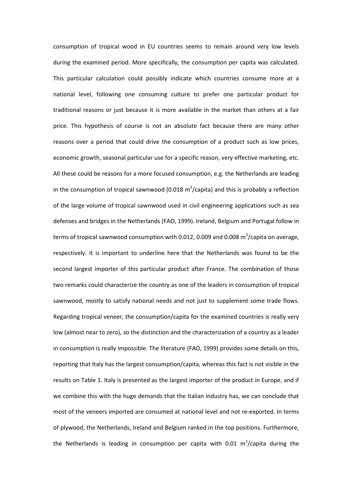consumption of tropical wood in EU countries seems to remain around very low levels during the examined period. More specifically, the consumption per capita was calculated. This particular calculation could possibly indicate which countries consume more at a national level, following one consuming culture to prefer one particular product for traditional reasons or just because it is more available in the market than others at a fair price. This hypothesis of course is not an absolute fact because there are many other reasons over a period that could drive the consumption of a product such as low prices, economic growth, seasonal particular use for a specific reason, very effective marketing, etc. All these could be reasons for a more focused consumption, e.g. the Netherlands are leading in the consumption of tropical sawnwood (0.018  $m^3$ /capita) and this is probably a reflection of the large volume of tropical sawnwood used in civil engineering applications such as sea defenses and bridges in the Netherlands (FAO, 1999). Ireland, Belgium and Portugal follow in terms of tropical sawnwood consumption with 0.012, 0.009 and 0.008  $\text{m}^3$ /capita on average, respectively. It is important to underline here that the Netherlands was found to be the second largest importer of this particular product after France. The combination of those two remarks could characterize the country as one of the leaders in consumption of tropical sawnwood, mostly to satisfy national needs and not just to supplement some trade flows. Regarding tropical veneer, the consumption/capita for the examined countries is really very low (almost near to zero), so the distinction and the characterization of a country as a leader in consumption is really impossible. The literature (FAO, 1999) provides some details on this, reporting that Italy has the largest consumption/capita, whereas this fact is not visible in the results on Table 1. Italy is presented as the largest importer of the product in Europe, and if we combine this with the huge demands that the Italian industry has, we can conclude that most of the veneers imported are consumed at national level and not re-exported. In terms of plywood, the Netherlands, Ireland and Belgium ranked in the top positions. Furthermore, the Netherlands is leading in consumption per capita with 0.01  $m^3/c$ apita during the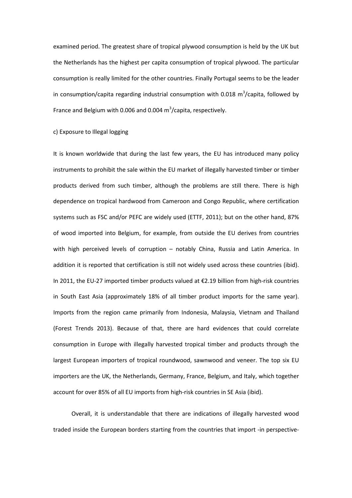examined period. The greatest share of tropical plywood consumption is held by the UK but the Netherlands has the highest per capita consumption of tropical plywood. The particular consumption is really limited for the other countries. Finally Portugal seems to be the leader in consumption/capita regarding industrial consumption with 0.018  $m^3$ /capita, followed by France and Belgium with 0.006 and 0.004  $\text{m}^3$ /capita, respectively.

c) Exposure to Illegal logging

It is known worldwide that during the last few years, the EU has introduced many policy instruments to prohibit the sale within the EU market of illegally harvested timber or timber products derived from such timber, although the problems are still there. There is high dependence on tropical hardwood from Cameroon and Congo Republic, where certification systems such as FSC and/or PEFC are widely used (ETTF, 2011); but on the other hand, 87% of wood imported into Belgium, for example, from outside the EU derives from countries with high perceived levels of corruption - notably China, Russia and Latin America. In addition it is reported that certification is still not widely used across these countries (ibid). In 2011, the EU-27 imported timber products valued at €2.19 billion from high-risk countries in South East Asia (approximately 18% of all timber product imports for the same year). Imports from the region came primarily from Indonesia, Malaysia, Vietnam and Thailand (Forest Trends 2013). Because of that, there are hard evidences that could correlate consumption in Europe with illegally harvested tropical timber and products through the largest European importers of tropical roundwood, sawnwood and veneer. The top six EU importers are the UK, the Netherlands, Germany, France, Belgium, and Italy, which together account for over 85% of all EU imports from high-risk countries in SE Asia (ibid).

 Overall, it is understandable that there are indications of illegally harvested wood traded inside the European borders starting from the countries that import -in perspective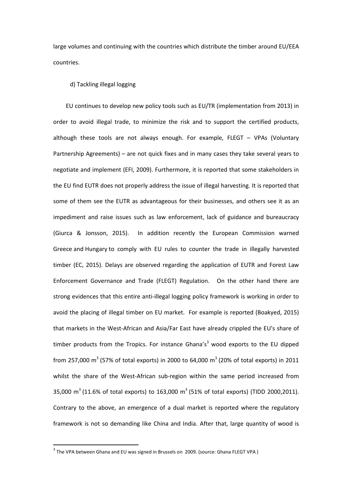large volumes and continuing with the countries which distribute the timber around EU/EEA countries.

## d) Tackling illegal logging

EU continues to develop new policy tools such as EU/TR (implementation from 2013) in order to avoid illegal trade, to minimize the risk and to support the certified products, although these tools are not always enough. For example, FLEGT – VPAs (Voluntary Partnership Agreements) – are not quick fixes and in many cases they take several years to negotiate and implement (EFI, 2009). Furthermore, it is reported that some stakeholders in the EU find EUTR does not properly address the issue of illegal harvesting. It is reported that some of them see the EUTR as advantageous for their businesses, and others see it as an impediment and raise issues such as law enforcement, lack of guidance and bureaucracy (Giurca & Jonsson, 2015). In addition recently the European Commission warned Greece and Hungary to comply with EU rules to counter the trade in illegally harvested timber (EC, 2015). Delays are observed regarding the application of EUTR and Forest Law Enforcement Governance and Trade (FLEGT) Regulation. On the other hand there are strong evidences that this entire anti-illegal logging policy framework is working in order to avoid the placing of illegal timber on EU market. For example is reported (Boakyed, 2015) that markets in the West-African and Asia/Far East have already crippled the EU's share of timber products from the Tropics. For instance Ghana's<sup>3</sup> wood exports to the EU dipped from 257,000 m<sup>3</sup> (57% of total exports) in 2000 to 64,000 m<sup>3</sup> (20% of total exports) in 2011 whilst the share of the West-African sub-region within the same period increased from 35,000 m<sup>3</sup> (11.6% of total exports) to 163,000 m<sup>3</sup> (51% of total exports) (TIDD 2000,2011). Contrary to the above, an emergence of a dual market is reported where the regulatory framework is not so demanding like China and India. After that, large quantity of wood is

 $\overline{a}$ 

 $^3$  The VPA between Ghana and EU was signed in Brussels on 2009. (source: Ghana FLEGT VPA )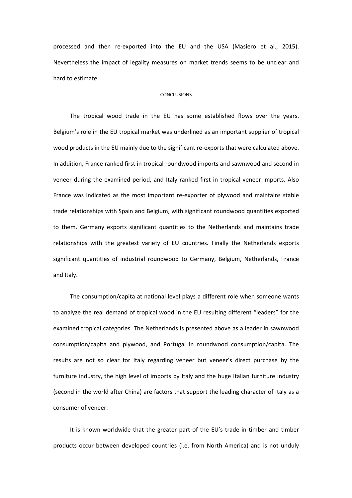processed and then re-exported into the EU and the USA (Masiero et al., 2015). Nevertheless the impact of legality measures on market trends seems to be unclear and hard to estimate.

### CONCLUSIONS

The tropical wood trade in the EU has some established flows over the years. Belgium's role in the EU tropical market was underlined as an important supplier of tropical wood products in the EU mainly due to the significant re-exports that were calculated above. In addition, France ranked first in tropical roundwood imports and sawnwood and second in veneer during the examined period, and Italy ranked first in tropical veneer imports. Also France was indicated as the most important re-exporter of plywood and maintains stable trade relationships with Spain and Belgium, with significant roundwood quantities exported to them. Germany exports significant quantities to the Netherlands and maintains trade relationships with the greatest variety of EU countries. Finally the Netherlands exports significant quantities of industrial roundwood to Germany, Belgium, Netherlands, France and Italy.

The consumption/capita at national level plays a different role when someone wants to analyze the real demand of tropical wood in the EU resulting different "leaders" for the examined tropical categories. The Netherlands is presented above as a leader in sawnwood consumption/capita and plywood, and Portugal in roundwood consumption/capita. The results are not so clear for Italy regarding veneer but veneer's direct purchase by the furniture industry, the high level of imports by Italy and the huge Italian furniture industry (second in the world after China) are factors that support the leading character of Italy as a consumer of veneer.

It is known worldwide that the greater part of the EU's trade in timber and timber products occur between developed countries (i.e. from North America) and is not unduly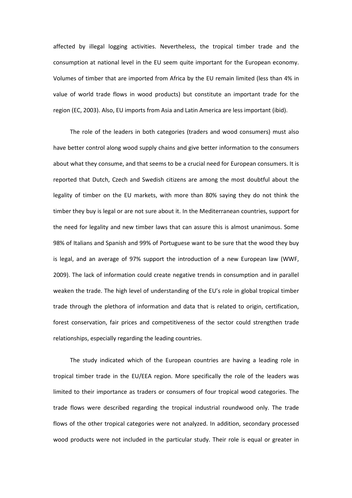affected by illegal logging activities. Nevertheless, the tropical timber trade and the consumption at national level in the EU seem quite important for the European economy. Volumes of timber that are imported from Africa by the EU remain limited (less than 4% in value of world trade flows in wood products) but constitute an important trade for the region (EC, 2003). Also, EU imports from Asia and Latin America are less important (ibid).

The role of the leaders in both categories (traders and wood consumers) must also have better control along wood supply chains and give better information to the consumers about what they consume, and that seems to be a crucial need for European consumers. It is reported that Dutch, Czech and Swedish citizens are among the most doubtful about the legality of timber on the EU markets, with more than 80% saying they do not think the timber they buy is legal or are not sure about it. In the Mediterranean countries, support for the need for legality and new timber laws that can assure this is almost unanimous. Some 98% of Italians and Spanish and 99% of Portuguese want to be sure that the wood they buy is legal, and an average of 97% support the introduction of a new European law (WWF, 2009). The lack of information could create negative trends in consumption and in parallel weaken the trade. The high level of understanding of the EU's role in global tropical timber trade through the plethora of information and data that is related to origin, certification, forest conservation, fair prices and competitiveness of the sector could strengthen trade relationships, especially regarding the leading countries.

The study indicated which of the European countries are having a leading role in tropical timber trade in the EU/EEA region. More specifically the role of the leaders was limited to their importance as traders or consumers of four tropical wood categories. The trade flows were described regarding the tropical industrial roundwood only. The trade flows of the other tropical categories were not analyzed. In addition, secondary processed wood products were not included in the particular study. Their role is equal or greater in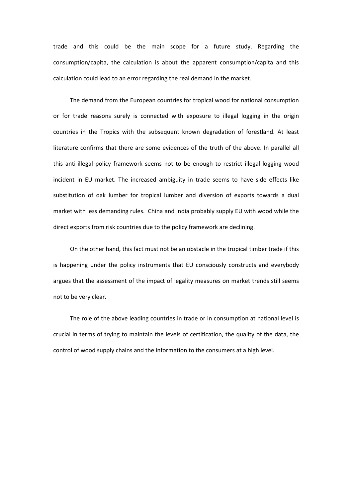trade and this could be the main scope for a future study. Regarding the consumption/capita, the calculation is about the apparent consumption/capita and this calculation could lead to an error regarding the real demand in the market.

The demand from the European countries for tropical wood for national consumption or for trade reasons surely is connected with exposure to illegal logging in the origin countries in the Tropics with the subsequent known degradation of forestland. At least literature confirms that there are some evidences of the truth of the above. In parallel all this anti-illegal policy framework seems not to be enough to restrict illegal logging wood incident in EU market. The increased ambiguity in trade seems to have side effects like substitution of oak lumber for tropical lumber and diversion of exports towards a dual market with less demanding rules. China and India probably supply EU with wood while the direct exports from risk countries due to the policy framework are declining.

On the other hand, this fact must not be an obstacle in the tropical timber trade if this is happening under the policy instruments that EU consciously constructs and everybody argues that the assessment of the impact of legality measures on market trends still seems not to be very clear.

The role of the above leading countries in trade or in consumption at national level is crucial in terms of trying to maintain the levels of certification, the quality of the data, the control of wood supply chains and the information to the consumers at a high level.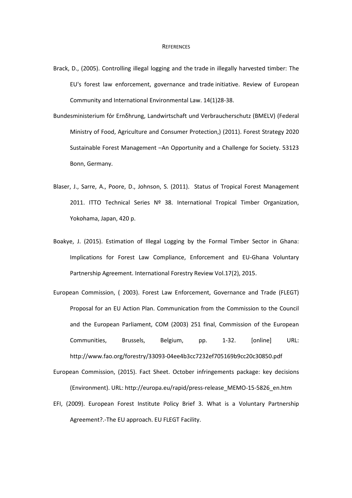- Brack, D., (2005). Controlling illegal logging and the trade in illegally harvested timber: The EU's forest law enforcement, governance and trade initiative. Review of European Community and International Environmental Law. 14(1)28-38.
- Bundesministerium fόr Ernδhrung, Landwirtschaft und Verbraucherschutz (BMELV) (Federal Ministry of Food, Agriculture and Consumer Protection,) (2011). Forest Strategy 2020 Sustainable Forest Management –An Opportunity and a Challenge for Society. 53123 Bonn, Germany.
- Blaser, J., Sarre, A., Poore, D., Johnson, S. (2011). Status of Tropical Forest Management 2011. ITTO Technical Series Nº 38. International Tropical Timber Organization, Yokohama, Japan, 420 p.
- Boakye, J. (2015). Estimation of Illegal Logging by the Formal Timber Sector in Ghana: Implications for Forest Law Compliance, Enforcement and EU-Ghana Voluntary Partnership Agreement. International Forestry Review Vol.17(2), 2015.
- European Commission, ( 2003). Forest Law Enforcement, Governance and Trade (FLEGT) Proposal for an EU Action Plan. Communication from the Commission to the Council and the European Parliament, COM (2003) 251 final, Commission of the European Communities, Brussels, Belgium, pp. 1-32. [online] URL: http://www.fao.org/forestry/33093-04ee4b3cc7232ef705169b9cc20c30850.pdf
- European Commission, (2015). Fact Sheet. October infringements package: key decisions (Environment). URL: http://europa.eu/rapid/press-release\_MEMO-15-5826\_en.htm
- EFI, (2009). European Forest Institute Policy Brief 3. What is a Voluntary Partnership Agreement?.-The EU approach. EU FLEGT Facility.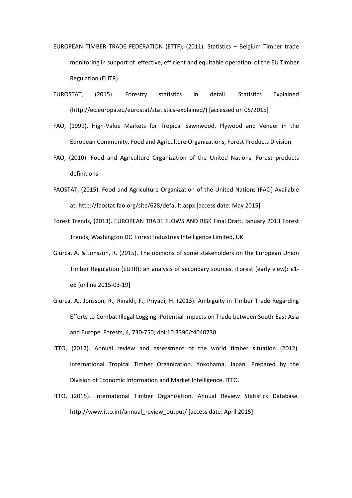- EUROPEAN TIMBER TRADE FEDERATION (ETTF), (2011). Statistics Belgium Timber trade monitoring in support of effective, efficient and equitable operation of the EU Timber Regulation (EUTR).
- EUROSTAT, (2015). Forestry statistics in detail. Statistics Explained (http://ec.europa.eu/eurostat/statistics-explained/) [accessed on 05/2015]
- FAO, (1999). High-Value Markets for Tropical Sawnwood, Plywood and Veneer in the European Community. Food and Agriculture Organizations, Forest Products Division.
- FAO, (2010). Food and Agriculture Organization of the United Nations. Forest products definitions.
- FAOSTAT, (2015). Food and Agriculture Organization of the United Nations (FAO) Available at: http://faostat.fao.org/site/628/default.aspx [access date: May 2015]
- Forest Trends, (2013). EUROPEAN TRADE FLOWS AND RISK Final Draft, January 2013 Forest Trends, Washington DC Forest Industries Intelligence Limited, UK
- Giurca, A. & Jonsson, R. (2015). The opinions of some stakeholders on the European Union Timber Regulation (EUTR): an analysis of secondary sources. iForest (early view): e1 e6 [online 2015-03-19]
- Giurca, A., Jonsson, R., Rinaldi, F., Priyadi, H. (2013). Ambiguity in Timber Trade Regarding Efforts to Combat Illegal Logging: Potential Impacts on Trade between South-East Asia and Europe Forests, 4, 730-750; doi:10.3390/f4040730
- ITTO, (2012). Annual review and assessment of the world timber situation (2012). International Tropical Timber Organization. Yokohama, Japan. Prepared by the Division of Economic Information and Market Intelligence, ITTO.
- ITTO, (2015). International Timber Organization. Annual Review Statistics Database. http://www.itto.int/annual\_review\_output/ [access date: April 2015]